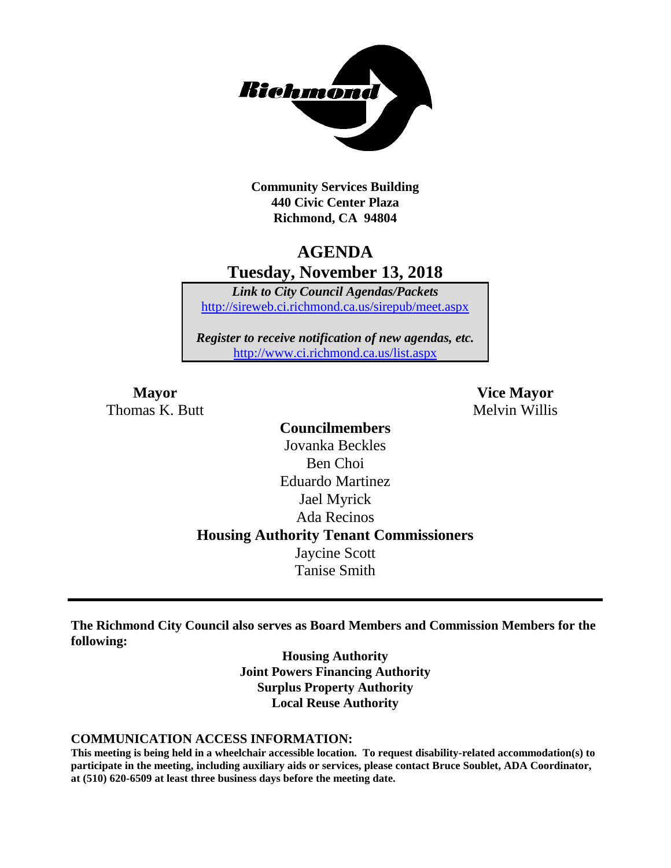

**Community Services Building 440 Civic Center Plaza Richmond, CA 94804**

### **AGENDA Tuesday, November 13, 2018**

*Link to City Council Agendas/Packets* <http://sireweb.ci.richmond.ca.us/sirepub/meet.aspx>

*Register to receive notification of new agendas, etc.* <http://www.ci.richmond.ca.us/list.aspx>

Thomas K. Butt Melvin Willis

**Mayor Vice Mayor**

**Councilmembers** Jovanka Beckles Ben Choi Eduardo Martinez Jael Myrick Ada Recinos **Housing Authority Tenant Commissioners** Jaycine Scott Tanise Smith

**The Richmond City Council also serves as Board Members and Commission Members for the following:**

> **Housing Authority Joint Powers Financing Authority Surplus Property Authority Local Reuse Authority**

#### **COMMUNICATION ACCESS INFORMATION:**

**This meeting is being held in a wheelchair accessible location. To request disability-related accommodation(s) to participate in the meeting, including auxiliary aids or services, please contact Bruce Soublet, ADA Coordinator, at (510) 620-6509 at least three business days before the meeting date.**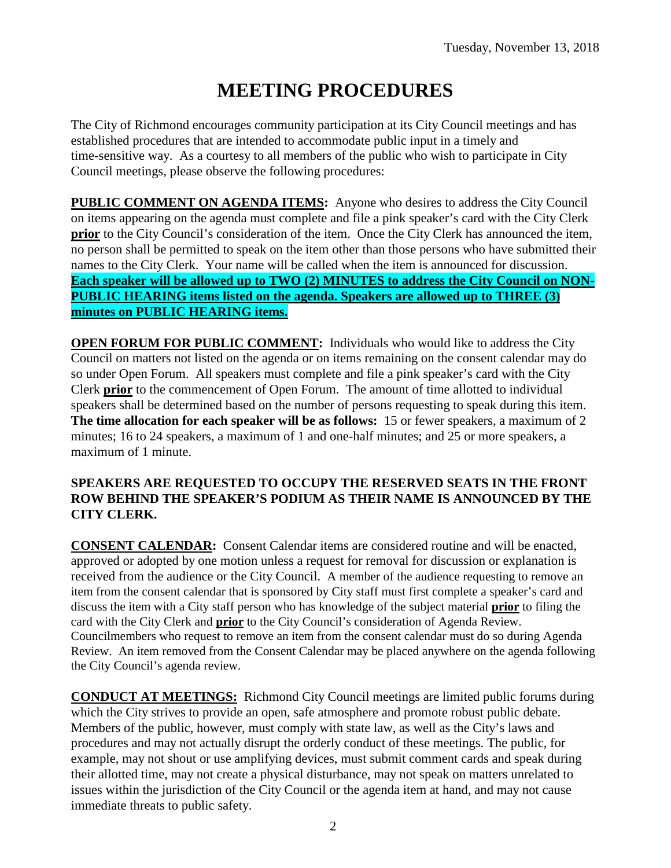# **MEETING PROCEDURES**

The City of Richmond encourages community participation at its City Council meetings and has established procedures that are intended to accommodate public input in a timely and time-sensitive way. As a courtesy to all members of the public who wish to participate in City Council meetings, please observe the following procedures:

**PUBLIC COMMENT ON AGENDA ITEMS:** Anyone who desires to address the City Council on items appearing on the agenda must complete and file a pink speaker's card with the City Clerk **prior** to the City Council's consideration of the item. Once the City Clerk has announced the item, no person shall be permitted to speak on the item other than those persons who have submitted their names to the City Clerk. Your name will be called when the item is announced for discussion. **Each speaker will be allowed up to TWO (2) MINUTES to address the City Council on NON-PUBLIC HEARING items listed on the agenda. Speakers are allowed up to THREE (3) minutes on PUBLIC HEARING items.**

**OPEN FORUM FOR PUBLIC COMMENT:** Individuals who would like to address the City Council on matters not listed on the agenda or on items remaining on the consent calendar may do so under Open Forum. All speakers must complete and file a pink speaker's card with the City Clerk **prior** to the commencement of Open Forum. The amount of time allotted to individual speakers shall be determined based on the number of persons requesting to speak during this item. **The time allocation for each speaker will be as follows:** 15 or fewer speakers, a maximum of 2 minutes; 16 to 24 speakers, a maximum of 1 and one-half minutes; and 25 or more speakers, a maximum of 1 minute.

#### **SPEAKERS ARE REQUESTED TO OCCUPY THE RESERVED SEATS IN THE FRONT ROW BEHIND THE SPEAKER'S PODIUM AS THEIR NAME IS ANNOUNCED BY THE CITY CLERK.**

**CONSENT CALENDAR:** Consent Calendar items are considered routine and will be enacted, approved or adopted by one motion unless a request for removal for discussion or explanation is received from the audience or the City Council. A member of the audience requesting to remove an item from the consent calendar that is sponsored by City staff must first complete a speaker's card and discuss the item with a City staff person who has knowledge of the subject material **prior** to filing the card with the City Clerk and **prior** to the City Council's consideration of Agenda Review. Councilmembers who request to remove an item from the consent calendar must do so during Agenda Review. An item removed from the Consent Calendar may be placed anywhere on the agenda following the City Council's agenda review.

**CONDUCT AT MEETINGS:** Richmond City Council meetings are limited public forums during which the City strives to provide an open, safe atmosphere and promote robust public debate. Members of the public, however, must comply with state law, as well as the City's laws and procedures and may not actually disrupt the orderly conduct of these meetings. The public, for example, may not shout or use amplifying devices, must submit comment cards and speak during their allotted time, may not create a physical disturbance, may not speak on matters unrelated to issues within the jurisdiction of the City Council or the agenda item at hand, and may not cause immediate threats to public safety.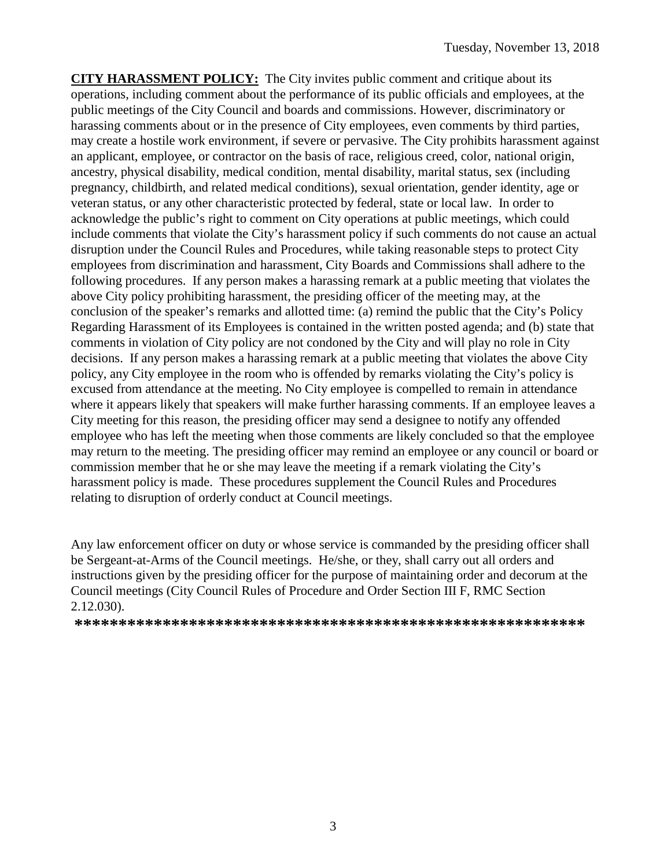**CITY HARASSMENT POLICY:** The City invites public comment and critique about its operations, including comment about the performance of its public officials and employees, at the public meetings of the City Council and boards and commissions. However, discriminatory or harassing comments about or in the presence of City employees, even comments by third parties, may create a hostile work environment, if severe or pervasive. The City prohibits harassment against an applicant, employee, or contractor on the basis of race, religious creed, color, national origin, ancestry, physical disability, medical condition, mental disability, marital status, sex (including pregnancy, childbirth, and related medical conditions), sexual orientation, gender identity, age or veteran status, or any other characteristic protected by federal, state or local law. In order to acknowledge the public's right to comment on City operations at public meetings, which could include comments that violate the City's harassment policy if such comments do not cause an actual disruption under the Council Rules and Procedures, while taking reasonable steps to protect City employees from discrimination and harassment, City Boards and Commissions shall adhere to the following procedures. If any person makes a harassing remark at a public meeting that violates the above City policy prohibiting harassment, the presiding officer of the meeting may, at the conclusion of the speaker's remarks and allotted time: (a) remind the public that the City's Policy Regarding Harassment of its Employees is contained in the written posted agenda; and (b) state that comments in violation of City policy are not condoned by the City and will play no role in City decisions. If any person makes a harassing remark at a public meeting that violates the above City policy, any City employee in the room who is offended by remarks violating the City's policy is excused from attendance at the meeting. No City employee is compelled to remain in attendance where it appears likely that speakers will make further harassing comments. If an employee leaves a City meeting for this reason, the presiding officer may send a designee to notify any offended employee who has left the meeting when those comments are likely concluded so that the employee may return to the meeting. The presiding officer may remind an employee or any council or board or commission member that he or she may leave the meeting if a remark violating the City's harassment policy is made. These procedures supplement the Council Rules and Procedures relating to disruption of orderly conduct at Council meetings.

Any law enforcement officer on duty or whose service is commanded by the presiding officer shall be Sergeant-at-Arms of the Council meetings. He/she, or they, shall carry out all orders and instructions given by the presiding officer for the purpose of maintaining order and decorum at the Council meetings (City Council Rules of Procedure and Order Section III F, RMC Section 2.12.030).

**\*\*\*\*\*\*\*\*\*\*\*\*\*\*\*\*\*\*\*\*\*\*\*\*\*\*\*\*\*\*\*\*\*\*\*\*\*\*\*\*\*\*\*\*\*\*\*\*\*\*\*\*\*\*\*\*\*\***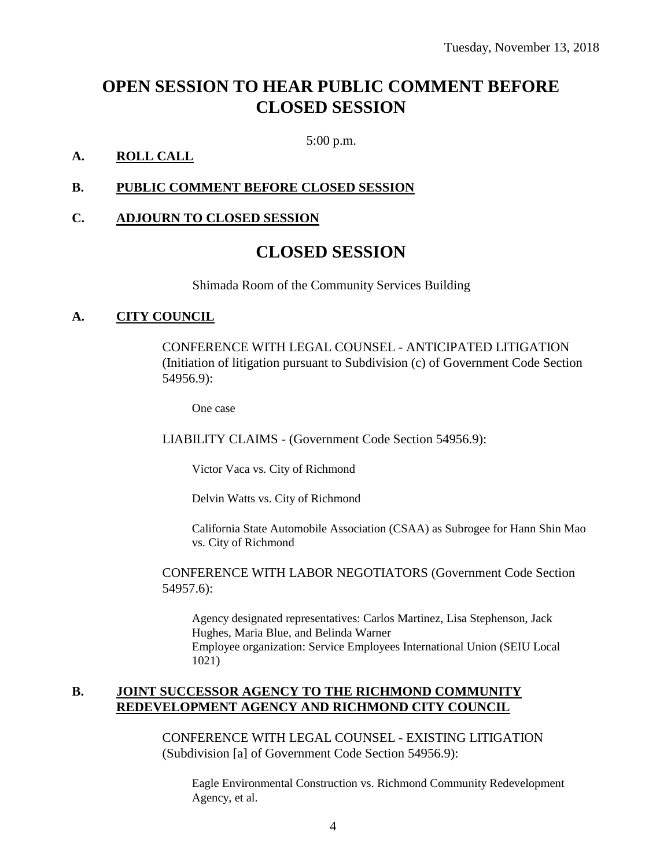## **OPEN SESSION TO HEAR PUBLIC COMMENT BEFORE CLOSED SESSION**

5:00 p.m.

#### **A. ROLL CALL**

#### **B. PUBLIC COMMENT BEFORE CLOSED SESSION**

#### **C. ADJOURN TO CLOSED SESSION**

### **CLOSED SESSION**

Shimada Room of the Community Services Building

#### **A. CITY COUNCIL**

CONFERENCE WITH LEGAL COUNSEL - ANTICIPATED LITIGATION (Initiation of litigation pursuant to Subdivision (c) of Government Code Section 54956.9):

One case

LIABILITY CLAIMS - (Government Code Section 54956.9):

Victor Vaca vs. City of Richmond

Delvin Watts vs. City of Richmond

California State Automobile Association (CSAA) as Subrogee for Hann Shin Mao vs. City of Richmond

CONFERENCE WITH LABOR NEGOTIATORS (Government Code Section 54957.6):

Agency designated representatives: Carlos Martinez, Lisa Stephenson, Jack Hughes, Maria Blue, and Belinda Warner Employee organization: Service Employees International Union (SEIU Local 1021)

#### **B. JOINT SUCCESSOR AGENCY TO THE RICHMOND COMMUNITY REDEVELOPMENT AGENCY AND RICHMOND CITY COUNCIL**

CONFERENCE WITH LEGAL COUNSEL - EXISTING LITIGATION (Subdivision [a] of Government Code Section 54956.9):

Eagle Environmental Construction vs. Richmond Community Redevelopment Agency, et al.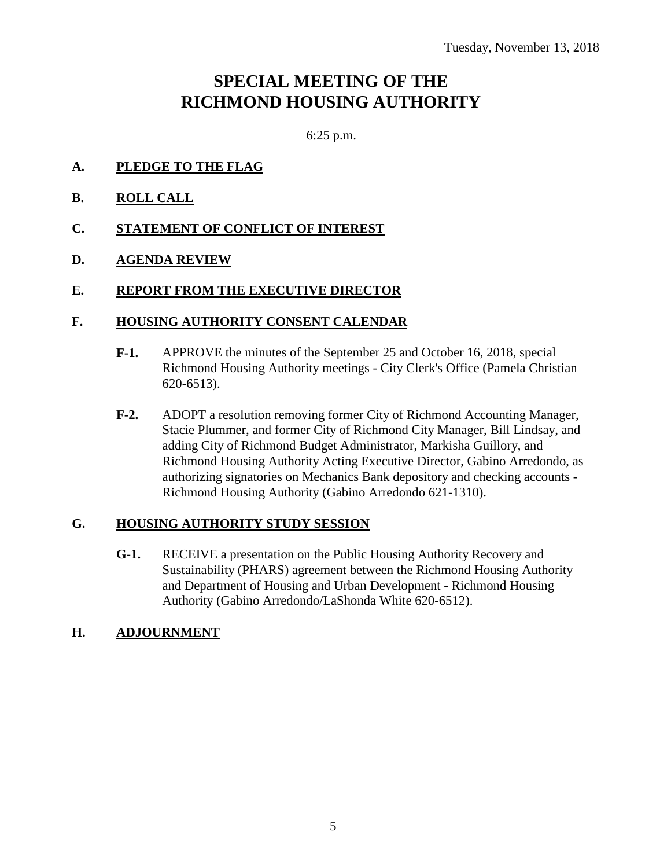# **SPECIAL MEETING OF THE RICHMOND HOUSING AUTHORITY**

6:25 p.m.

- **A. PLEDGE TO THE FLAG**
- **B. ROLL CALL**
- **C. STATEMENT OF CONFLICT OF INTEREST**
- **D. AGENDA REVIEW**

#### **E. REPORT FROM THE EXECUTIVE DIRECTOR**

#### **F. HOUSING AUTHORITY CONSENT CALENDAR**

- **F-1.** APPROVE the minutes of the September 25 and October 16, 2018, special Richmond Housing Authority meetings - City Clerk's Office (Pamela Christian 620-6513).
- **F-2.** ADOPT a resolution removing former City of Richmond Accounting Manager, Stacie Plummer, and former City of Richmond City Manager, Bill Lindsay, and adding City of Richmond Budget Administrator, Markisha Guillory, and Richmond Housing Authority Acting Executive Director, Gabino Arredondo, as authorizing signatories on Mechanics Bank depository and checking accounts - Richmond Housing Authority (Gabino Arredondo 621-1310).

#### **G. HOUSING AUTHORITY STUDY SESSION**

**G-1.** RECEIVE a presentation on the Public Housing Authority Recovery and Sustainability (PHARS) agreement between the Richmond Housing Authority and Department of Housing and Urban Development - Richmond Housing Authority (Gabino Arredondo/LaShonda White 620-6512).

#### **H. ADJOURNMENT**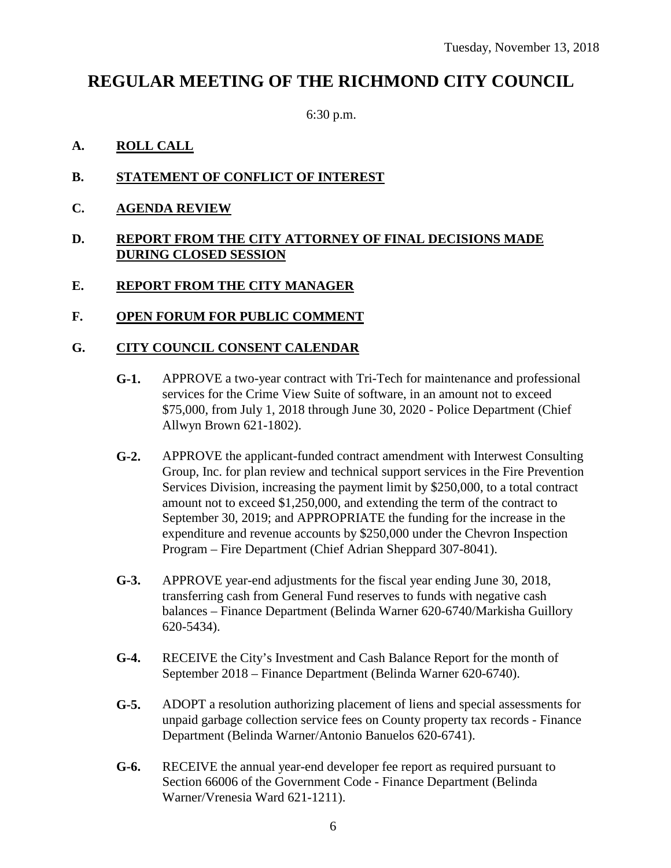### **REGULAR MEETING OF THE RICHMOND CITY COUNCIL**

6:30 p.m.

- **A. ROLL CALL**
- **B. STATEMENT OF CONFLICT OF INTEREST**
- **C. AGENDA REVIEW**

#### **D. REPORT FROM THE CITY ATTORNEY OF FINAL DECISIONS MADE DURING CLOSED SESSION**

#### **E. REPORT FROM THE CITY MANAGER**

**F. OPEN FORUM FOR PUBLIC COMMENT**

#### **G. CITY COUNCIL CONSENT CALENDAR**

- **G-1.** APPROVE a two-year contract with Tri-Tech for maintenance and professional services for the Crime View Suite of software, in an amount not to exceed \$75,000, from July 1, 2018 through June 30, 2020 - Police Department (Chief Allwyn Brown 621-1802).
- **G-2.** APPROVE the applicant-funded contract amendment with Interwest Consulting Group, Inc. for plan review and technical support services in the Fire Prevention Services Division, increasing the payment limit by \$250,000, to a total contract amount not to exceed \$1,250,000, and extending the term of the contract to September 30, 2019; and APPROPRIATE the funding for the increase in the expenditure and revenue accounts by \$250,000 under the Chevron Inspection Program – Fire Department (Chief Adrian Sheppard 307-8041).
- **G-3.** APPROVE year-end adjustments for the fiscal year ending June 30, 2018, transferring cash from General Fund reserves to funds with negative cash balances – Finance Department (Belinda Warner 620-6740/Markisha Guillory 620-5434).
- **G-4.** RECEIVE the City's Investment and Cash Balance Report for the month of September 2018 – Finance Department (Belinda Warner 620-6740).
- **G-5.** ADOPT a resolution authorizing placement of liens and special assessments for unpaid garbage collection service fees on County property tax records - Finance Department (Belinda Warner/Antonio Banuelos 620-6741).
- **G-6.** RECEIVE the annual year-end developer fee report as required pursuant to Section 66006 of the Government Code - Finance Department (Belinda Warner/Vrenesia Ward 621-1211).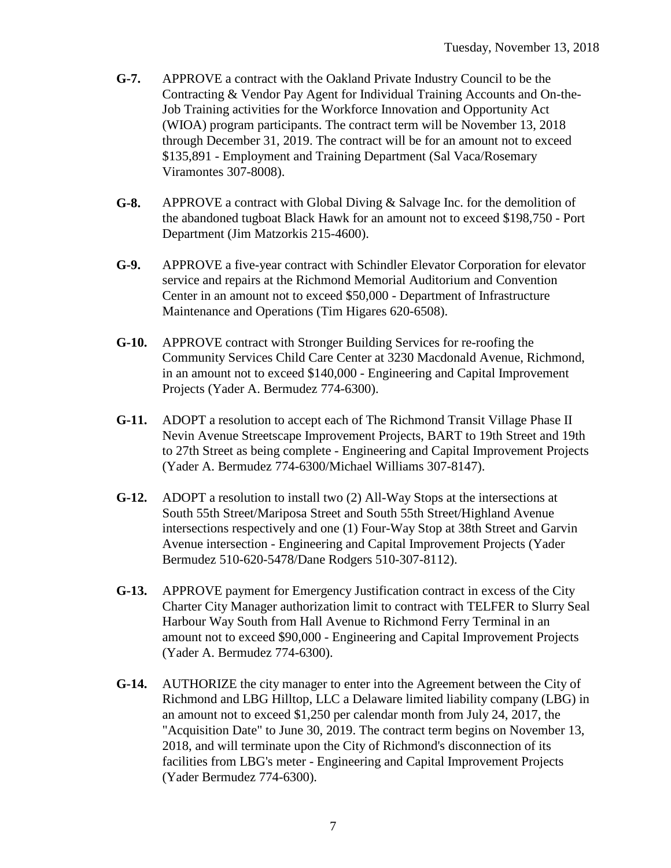- **G-7.** APPROVE a contract with the Oakland Private Industry Council to be the Contracting & Vendor Pay Agent for Individual Training Accounts and On-the-Job Training activities for the Workforce Innovation and Opportunity Act (WIOA) program participants. The contract term will be November 13, 2018 through December 31, 2019. The contract will be for an amount not to exceed \$135,891 - Employment and Training Department (Sal Vaca/Rosemary Viramontes 307-8008).
- **G-8.** APPROVE a contract with Global Diving & Salvage Inc. for the demolition of the abandoned tugboat Black Hawk for an amount not to exceed \$198,750 - Port Department (Jim Matzorkis 215-4600).
- **G-9.** APPROVE a five-year contract with Schindler Elevator Corporation for elevator service and repairs at the Richmond Memorial Auditorium and Convention Center in an amount not to exceed \$50,000 - Department of Infrastructure Maintenance and Operations (Tim Higares 620-6508).
- **G-10.** APPROVE contract with Stronger Building Services for re-roofing the Community Services Child Care Center at 3230 Macdonald Avenue, Richmond, in an amount not to exceed \$140,000 - Engineering and Capital Improvement Projects (Yader A. Bermudez 774-6300).
- **G-11.** ADOPT a resolution to accept each of The Richmond Transit Village Phase II Nevin Avenue Streetscape Improvement Projects, BART to 19th Street and 19th to 27th Street as being complete - Engineering and Capital Improvement Projects (Yader A. Bermudez 774-6300/Michael Williams 307-8147).
- **G-12.** ADOPT a resolution to install two (2) All-Way Stops at the intersections at South 55th Street/Mariposa Street and South 55th Street/Highland Avenue intersections respectively and one (1) Four-Way Stop at 38th Street and Garvin Avenue intersection - Engineering and Capital Improvement Projects (Yader Bermudez 510-620-5478/Dane Rodgers 510-307-8112).
- **G-13.** APPROVE payment for Emergency Justification contract in excess of the City Charter City Manager authorization limit to contract with TELFER to Slurry Seal Harbour Way South from Hall Avenue to Richmond Ferry Terminal in an amount not to exceed \$90,000 - Engineering and Capital Improvement Projects (Yader A. Bermudez 774-6300).
- **G-14.** AUTHORIZE the city manager to enter into the Agreement between the City of Richmond and LBG Hilltop, LLC a Delaware limited liability company (LBG) in an amount not to exceed \$1,250 per calendar month from July 24, 2017, the "Acquisition Date" to June 30, 2019. The contract term begins on November 13, 2018, and will terminate upon the City of Richmond's disconnection of its facilities from LBG's meter - Engineering and Capital Improvement Projects (Yader Bermudez 774-6300).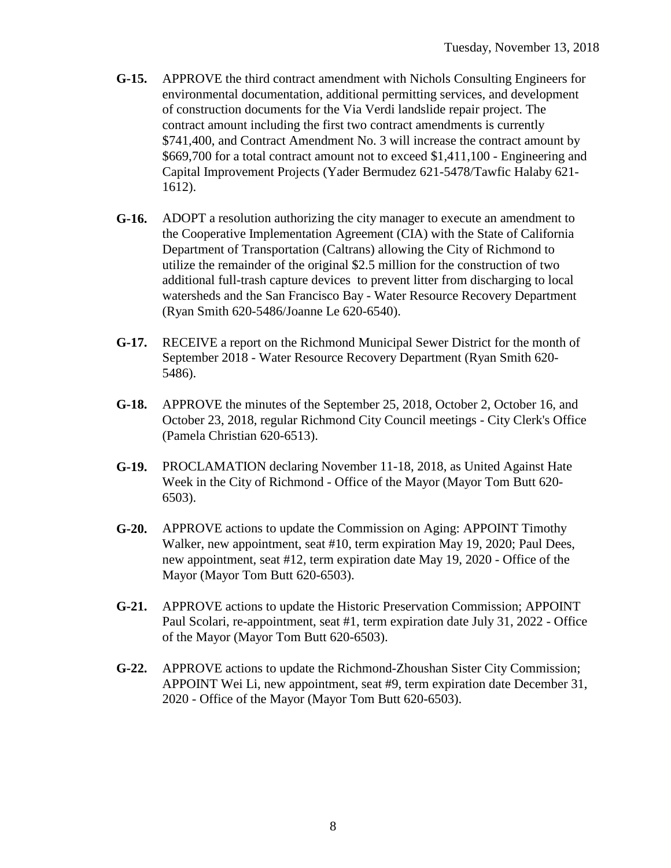- **G-15.** APPROVE the third contract amendment with Nichols Consulting Engineers for environmental documentation, additional permitting services, and development of construction documents for the Via Verdi landslide repair project. The contract amount including the first two contract amendments is currently \$741,400, and Contract Amendment No. 3 will increase the contract amount by \$669,700 for a total contract amount not to exceed \$1,411,100 - Engineering and Capital Improvement Projects (Yader Bermudez 621-5478/Tawfic Halaby 621- 1612).
- **G-16.** ADOPT a resolution authorizing the city manager to execute an amendment to the Cooperative Implementation Agreement (CIA) with the State of California Department of Transportation (Caltrans) allowing the City of Richmond to utilize the remainder of the original \$2.5 million for the construction of two additional full-trash capture devices to prevent litter from discharging to local watersheds and the San Francisco Bay - Water Resource Recovery Department (Ryan Smith 620-5486/Joanne Le 620-6540).
- **G-17.** RECEIVE a report on the Richmond Municipal Sewer District for the month of September 2018 - Water Resource Recovery Department (Ryan Smith 620- 5486).
- **G-18.** APPROVE the minutes of the September 25, 2018, October 2, October 16, and October 23, 2018, regular Richmond City Council meetings - City Clerk's Office (Pamela Christian 620-6513).
- **G-19.** PROCLAMATION declaring November 11-18, 2018, as United Against Hate Week in the City of Richmond - Office of the Mayor (Mayor Tom Butt 620- 6503).
- **G-20.** APPROVE actions to update the Commission on Aging: APPOINT Timothy Walker, new appointment, seat #10, term expiration May 19, 2020; Paul Dees, new appointment, seat #12, term expiration date May 19, 2020 - Office of the Mayor (Mayor Tom Butt 620-6503).
- **G-21.** APPROVE actions to update the Historic Preservation Commission; APPOINT Paul Scolari, re-appointment, seat #1, term expiration date July 31, 2022 - Office of the Mayor (Mayor Tom Butt 620-6503).
- **G-22.** APPROVE actions to update the Richmond-Zhoushan Sister City Commission; APPOINT Wei Li, new appointment, seat #9, term expiration date December 31, 2020 - Office of the Mayor (Mayor Tom Butt 620-6503).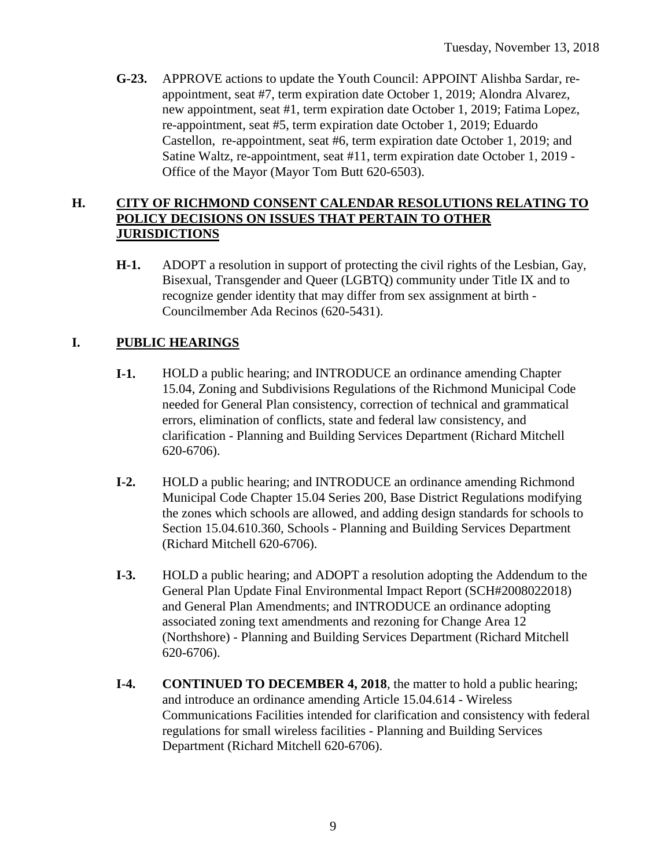**G-23.** APPROVE actions to update the Youth Council: APPOINT Alishba Sardar, reappointment, seat #7, term expiration date October 1, 2019; Alondra Alvarez, new appointment, seat #1, term expiration date October 1, 2019; Fatima Lopez, re-appointment, seat #5, term expiration date October 1, 2019; Eduardo Castellon, re-appointment, seat #6, term expiration date October 1, 2019; and Satine Waltz, re-appointment, seat #11, term expiration date October 1, 2019 - Office of the Mayor (Mayor Tom Butt 620-6503).

#### **H. CITY OF RICHMOND CONSENT CALENDAR RESOLUTIONS RELATING TO POLICY DECISIONS ON ISSUES THAT PERTAIN TO OTHER JURISDICTIONS**

**H-1.** ADOPT a resolution in support of protecting the civil rights of the Lesbian, Gay, Bisexual, Transgender and Queer (LGBTQ) community under Title IX and to recognize gender identity that may differ from sex assignment at birth - Councilmember Ada Recinos (620-5431).

#### **I. PUBLIC HEARINGS**

- **I-1.** HOLD a public hearing; and INTRODUCE an ordinance amending Chapter 15.04, Zoning and Subdivisions Regulations of the Richmond Municipal Code needed for General Plan consistency, correction of technical and grammatical errors, elimination of conflicts, state and federal law consistency, and clarification - Planning and Building Services Department (Richard Mitchell 620-6706).
- **I-2.** HOLD a public hearing; and INTRODUCE an ordinance amending Richmond Municipal Code Chapter 15.04 Series 200, Base District Regulations modifying the zones which schools are allowed, and adding design standards for schools to Section 15.04.610.360, Schools - Planning and Building Services Department (Richard Mitchell 620-6706).
- **I-3.** HOLD a public hearing; and ADOPT a resolution adopting the Addendum to the General Plan Update Final Environmental Impact Report (SCH#2008022018) and General Plan Amendments; and INTRODUCE an ordinance adopting associated zoning text amendments and rezoning for Change Area 12 (Northshore) - Planning and Building Services Department (Richard Mitchell 620-6706).
- **I-4. CONTINUED TO DECEMBER 4, 2018**, the matter to hold a public hearing; and introduce an ordinance amending Article 15.04.614 - Wireless Communications Facilities intended for clarification and consistency with federal regulations for small wireless facilities - Planning and Building Services Department (Richard Mitchell 620-6706).